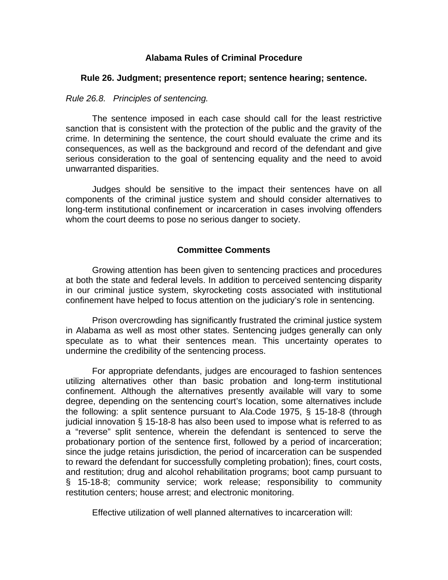## **Alabama Rules of Criminal Procedure**

## **Rule 26. Judgment; presentence report; sentence hearing; sentence.**

## *Rule 26.8. Principles of sentencing.*

The sentence imposed in each case should call for the least restrictive sanction that is consistent with the protection of the public and the gravity of the crime. In determining the sentence, the court should evaluate the crime and its consequences, as well as the background and record of the defendant and give serious consideration to the goal of sentencing equality and the need to avoid unwarranted disparities.

Judges should be sensitive to the impact their sentences have on all components of the criminal justice system and should consider alternatives to long-term institutional confinement or incarceration in cases involving offenders whom the court deems to pose no serious danger to society.

## **Committee Comments**

Growing attention has been given to sentencing practices and procedures at both the state and federal levels. In addition to perceived sentencing disparity in our criminal justice system, skyrocketing costs associated with institutional confinement have helped to focus attention on the judiciary's role in sentencing.

Prison overcrowding has significantly frustrated the criminal justice system in Alabama as well as most other states. Sentencing judges generally can only speculate as to what their sentences mean. This uncertainty operates to undermine the credibility of the sentencing process.

For appropriate defendants, judges are encouraged to fashion sentences utilizing alternatives other than basic probation and long-term institutional confinement. Although the alternatives presently available will vary to some degree, depending on the sentencing court's location, some alternatives include the following: a split sentence pursuant to Ala.Code 1975, § 15-18-8 (through judicial innovation § 15-18-8 has also been used to impose what is referred to as a "reverse" split sentence, wherein the defendant is sentenced to serve the probationary portion of the sentence first, followed by a period of incarceration; since the judge retains jurisdiction, the period of incarceration can be suspended to reward the defendant for successfully completing probation); fines, court costs, and restitution; drug and alcohol rehabilitation programs; boot camp pursuant to § 15-18-8; community service; work release; responsibility to community restitution centers; house arrest; and electronic monitoring.

Effective utilization of well planned alternatives to incarceration will: